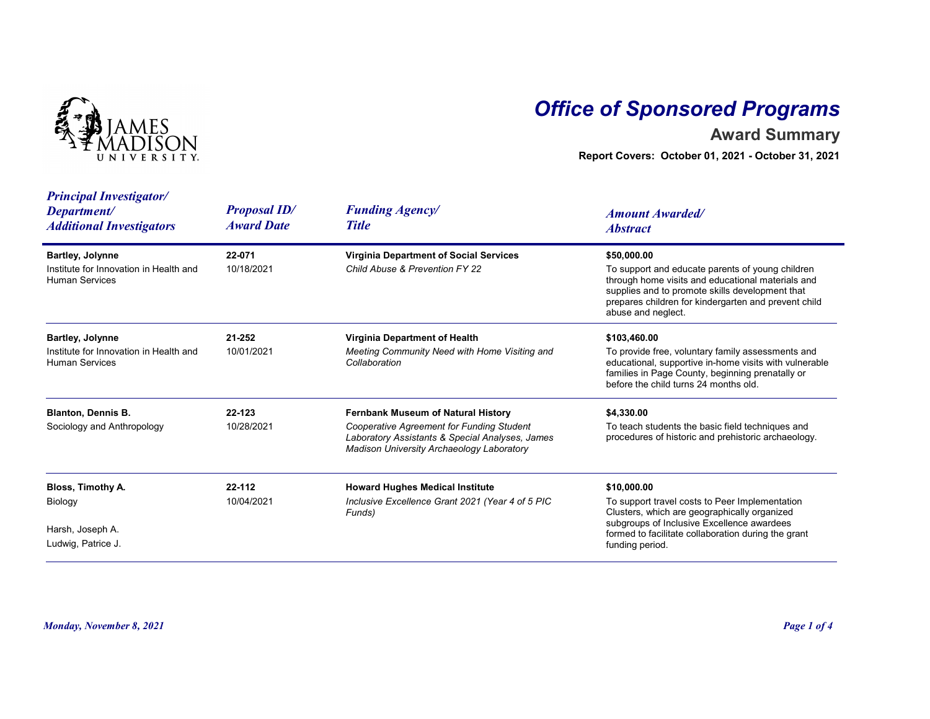

## Office of Sponsored Programs

## Award Summary

| <b>IVERSITY</b>                                                                            |                                          | <b>Office of Sponsored Programs</b><br><b>Award Summary</b><br>Report Covers: October 01, 2021 - October 31, 2021                                                               |                                                                                                                                                                                                                                                       |  |
|--------------------------------------------------------------------------------------------|------------------------------------------|---------------------------------------------------------------------------------------------------------------------------------------------------------------------------------|-------------------------------------------------------------------------------------------------------------------------------------------------------------------------------------------------------------------------------------------------------|--|
| <b>Principal Investigator/</b><br>Department/<br><b>Additional Investigators</b>           | <b>Proposal ID/</b><br><b>Award Date</b> | <b>Funding Agency/</b><br><b>Title</b>                                                                                                                                          | <b>Amount Awarded/</b><br><b>Abstract</b>                                                                                                                                                                                                             |  |
| <b>Bartley, Jolynne</b><br>Institute for Innovation in Health and<br><b>Human Services</b> | 22-071<br>10/18/2021                     | <b>Virginia Department of Social Services</b><br>Child Abuse & Prevention FY 22                                                                                                 | \$50,000.00<br>To support and educate parents of young children<br>through home visits and educational materials and<br>supplies and to promote skills development that<br>prepares children for kindergarten and prevent child<br>abuse and neglect. |  |
| <b>Bartley, Jolynne</b><br>Institute for Innovation in Health and<br><b>Human Services</b> | 21-252<br>10/01/2021                     | Virginia Department of Health<br>Meeting Community Need with Home Visiting and<br>Collaboration                                                                                 | \$103,460.00<br>To provide free, voluntary family assessments and<br>educational, supportive in-home visits with vulnerable<br>families in Page County, beginning prenatally or<br>before the child turns 24 months old.                              |  |
| <b>Blanton, Dennis B.</b><br>Sociology and Anthropology                                    | 22-123<br>10/28/2021                     | Fernbank Museum of Natural History<br>Cooperative Agreement for Funding Student<br>Laboratory Assistants & Special Analyses, James<br>Madison University Archaeology Laboratory | \$4,330.00<br>To teach students the basic field techniques and<br>procedures of historic and prehistoric archaeology.                                                                                                                                 |  |
| Bloss, Timothy A.<br>Biology<br>Harsh, Joseph A.<br>Ludwig, Patrice J.                     | 22-112<br>10/04/2021                     | <b>Howard Hughes Medical Institute</b><br>Inclusive Excellence Grant 2021 (Year 4 of 5 PIC<br>Funds)                                                                            | \$10,000.00<br>To support travel costs to Peer Implementation<br>Clusters, which are geographically organized<br>subgroups of Inclusive Excellence awardees<br>formed to facilitate collaboration during the grant<br>funding period.                 |  |
| <b>Monday, November 8, 2021</b>                                                            |                                          |                                                                                                                                                                                 | Page 1 of 4                                                                                                                                                                                                                                           |  |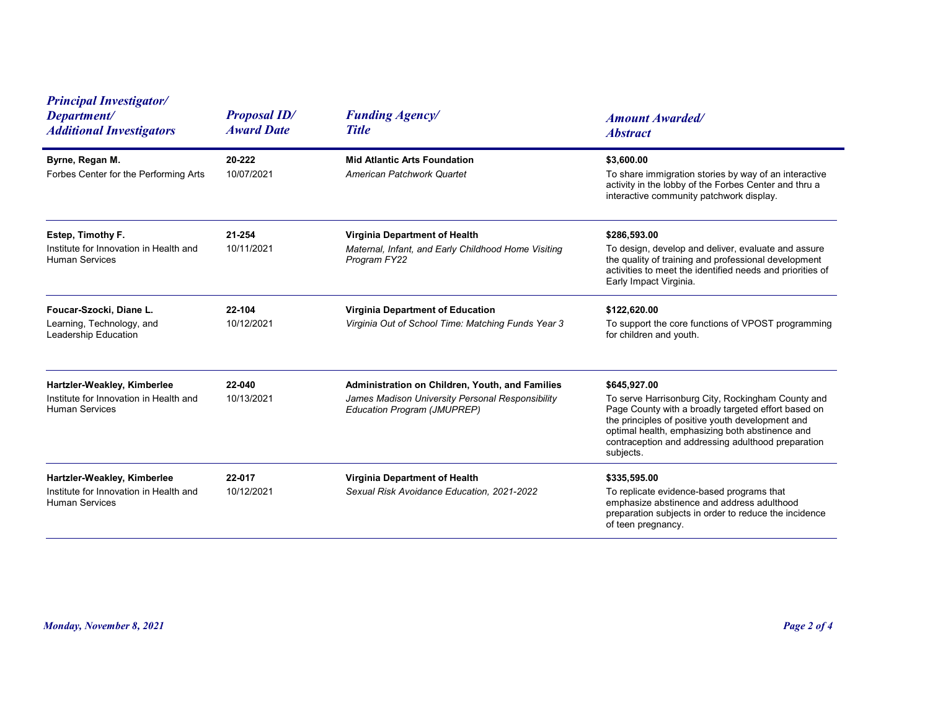| <b>Principal Investigator/</b><br><b>Proposal ID/</b><br><b>Funding Agency/</b><br>Department/<br><b>Amount Awarded/</b><br><b>Award Date</b><br><b>Title</b><br><b>Additional Investigators</b><br><b>Abstract</b><br>Byrne, Regan M.<br>20-222<br><b>Mid Atlantic Arts Foundation</b><br>\$3,600.00<br>To share immigration stories by way of an interactive<br>Forbes Center for the Performing Arts<br>10/07/2021<br>American Patchwork Quartet<br>activity in the lobby of the Forbes Center and thru a<br>interactive community patchwork display.<br>Estep, Timothy F.<br>21-254<br>Virginia Department of Health<br>\$286,593.00<br>Institute for Innovation in Health and<br>10/11/2021<br>Maternal, Infant, and Early Childhood Home Visiting<br>To design, develop and deliver, evaluate and assure |
|----------------------------------------------------------------------------------------------------------------------------------------------------------------------------------------------------------------------------------------------------------------------------------------------------------------------------------------------------------------------------------------------------------------------------------------------------------------------------------------------------------------------------------------------------------------------------------------------------------------------------------------------------------------------------------------------------------------------------------------------------------------------------------------------------------------|
|                                                                                                                                                                                                                                                                                                                                                                                                                                                                                                                                                                                                                                                                                                                                                                                                                |
|                                                                                                                                                                                                                                                                                                                                                                                                                                                                                                                                                                                                                                                                                                                                                                                                                |
| the quality of training and professional development<br><b>Human Services</b><br>Program FY22<br>activities to meet the identified needs and priorities of<br>Early Impact Virginia.                                                                                                                                                                                                                                                                                                                                                                                                                                                                                                                                                                                                                           |
| Foucar-Szocki, Diane L.<br>22-104<br>Virginia Department of Education<br>\$122,620.00<br>To support the core functions of VPOST programming<br>10/12/2021<br>Virginia Out of School Time: Matching Funds Year 3<br>Learning, Technology, and<br>Leadership Education<br>for children and youth.                                                                                                                                                                                                                                                                                                                                                                                                                                                                                                                |
| 22-040<br>Hartzler-Weakley, Kimberlee<br>Administration on Children, Youth, and Families<br>\$645,927.00<br>Institute for Innovation in Health and<br>10/13/2021<br>James Madison University Personal Responsibility<br>To serve Harrisonburg City, Rockingham County and<br>Page County with a broadly targeted effort based on<br><b>Human Services</b><br>Education Program (JMUPREP)<br>the principles of positive youth development and<br>optimal health, emphasizing both abstinence and<br>contraception and addressing adulthood preparation<br>subjects.                                                                                                                                                                                                                                             |
| Hartzler-Weakley, Kimberlee<br>Virginia Department of Health<br>22-017<br>\$335,595.00<br>10/12/2021<br>To replicate evidence-based programs that<br>Institute for Innovation in Health and<br>Sexual Risk Avoidance Education, 2021-2022<br>Human Services<br>emphasize abstinence and address adulthood<br>preparation subjects in order to reduce the incidence<br>of teen pregnancy.                                                                                                                                                                                                                                                                                                                                                                                                                       |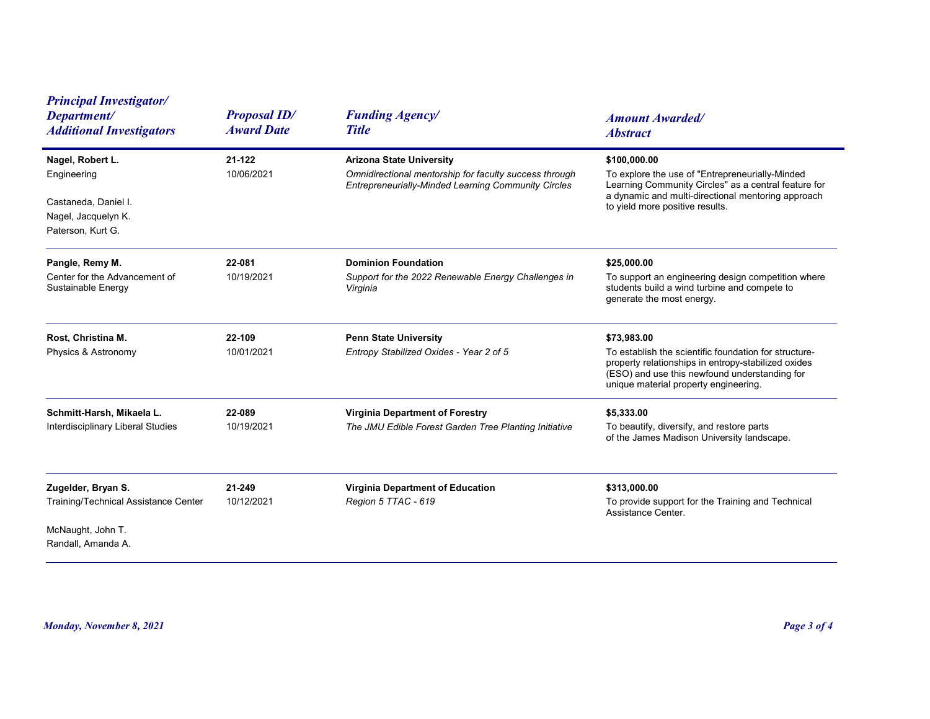| <b>Principal Investigator/</b><br>Department/<br><b>Additional Investigators</b>                             | <b>Proposal ID/</b><br><b>Award Date</b> | <b>Funding Agency/</b><br><b>Title</b>                                                                                                           | <b>Amount Awarded/</b><br><b>Abstract</b>                                                                                                                                                                             |
|--------------------------------------------------------------------------------------------------------------|------------------------------------------|--------------------------------------------------------------------------------------------------------------------------------------------------|-----------------------------------------------------------------------------------------------------------------------------------------------------------------------------------------------------------------------|
| Nagel, Robert L.<br>Engineering<br>Castaneda, Daniel I.<br>Nagel, Jacquelyn K.<br>Paterson, Kurt G.          | 21-122<br>10/06/2021                     | <b>Arizona State University</b><br>Omnidirectional mentorship for faculty success through<br>Entrepreneurially-Minded Learning Community Circles | \$100,000.00<br>To explore the use of "Entrepreneurially-Minded<br>Learning Community Circles" as a central feature for<br>a dynamic and multi-directional mentoring approach<br>to yield more positive results.      |
| Pangle, Remy M.<br>Center for the Advancement of<br>Sustainable Energy                                       | 22-081<br>10/19/2021                     | <b>Dominion Foundation</b><br>Support for the 2022 Renewable Energy Challenges in<br>Virginia                                                    | \$25,000.00<br>To support an engineering design competition where<br>students build a wind turbine and compete to<br>generate the most energy.                                                                        |
| Rost, Christina M.<br>Physics & Astronomy                                                                    | 22-109<br>10/01/2021                     | <b>Penn State University</b><br>Entropy Stabilized Oxides - Year 2 of 5                                                                          | \$73,983.00<br>To establish the scientific foundation for structure-<br>property relationships in entropy-stabilized oxides<br>(ESO) and use this newfound understanding for<br>unique material property engineering. |
| Schmitt-Harsh, Mikaela L.<br>Interdisciplinary Liberal Studies                                               | 22-089<br>10/19/2021                     | <b>Virginia Department of Forestry</b><br>The JMU Edible Forest Garden Tree Planting Initiative                                                  | \$5,333.00<br>To beautify, diversify, and restore parts<br>of the James Madison University landscape.                                                                                                                 |
| Zugelder, Bryan S.<br><b>Training/Technical Assistance Center</b><br>McNaught, John T.<br>Randall, Amanda A. | 21-249<br>10/12/2021                     | Virginia Department of Education<br>Region 5 TTAC - 619                                                                                          | \$313,000.00<br>To provide support for the Training and Technical<br>Assistance Center.                                                                                                                               |
| <b>Monday, November 8, 2021</b>                                                                              |                                          |                                                                                                                                                  | Page 3 of 4                                                                                                                                                                                                           |